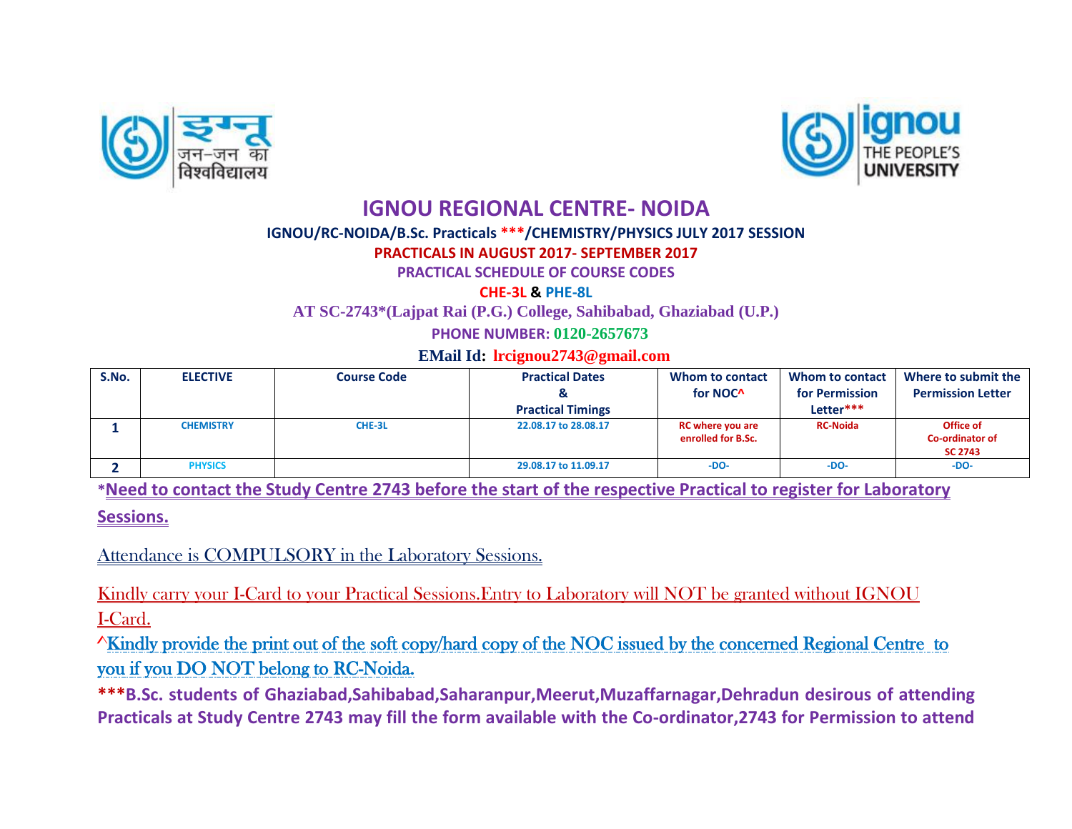



## **IGNOU REGIONAL CENTRE- NOIDA**

## **IGNOU/RC-NOIDA/B.Sc. Practicals \*\*\*/CHEMISTRY/PHYSICS JULY 2017 SESSION**

## **PRACTICALS IN AUGUST 2017- SEPTEMBER 2017**

**PRACTICAL SCHEDULE OF COURSE CODES** 

**CHE-3L & PHE-8L**

**AT SC-2743\*(Lajpat Rai (P.G.) College, Sahibabad, Ghaziabad (U.P.)**

 **PHONE NUMBER: 0120-2657673**

 **EMail Id: [lrcignou2743@gmail.com](mailto:lrcignou2743@gmail.com)**

| S.No. | <b>ELECTIVE</b>  | <b>Course Code</b> | <b>Practical Dates</b>   | Whom to contact                               | <b>Whom to contact</b> | Where to submit the                            |
|-------|------------------|--------------------|--------------------------|-----------------------------------------------|------------------------|------------------------------------------------|
|       |                  |                    |                          | for NOC <sup>^</sup>                          | for Permission         | <b>Permission Letter</b>                       |
|       |                  |                    | <b>Practical Timings</b> |                                               | Letter***              |                                                |
|       | <b>CHEMISTRY</b> | CHE-3L             | 22.08.17 to 28.08.17     | <b>RC where you are</b><br>enrolled for B.Sc. | <b>RC-Noida</b>        | Office of<br>Co-ordinator of<br><b>SC 2743</b> |
|       | <b>PHYSICS</b>   |                    | 29.08.17 to 11.09.17     | $-DO-$                                        | $-DO-$                 | $-DO-$                                         |

**\*Need to contact the Study Centre 2743 before the start of the respective Practical to register for Laboratory** 

**Sessions.**

Attendance is COMPULSORY in the Laboratory Sessions.

Kindly carry your I-Card to your Practical Sessions.Entry to Laboratory will NOT be granted without IGNOU I-Card.

^Kindly provide the print out of the soft copy/hard copy of the NOC issued by the concerned Regional Centre to you if you DO NOT belong to RC-Noida.

**\*\*\*B.Sc. students of Ghaziabad,Sahibabad,Saharanpur,Meerut,Muzaffarnagar,Dehradun desirous of attending Practicals at Study Centre 2743 may fill the form available with the Co-ordinator,2743 for Permission to attend**